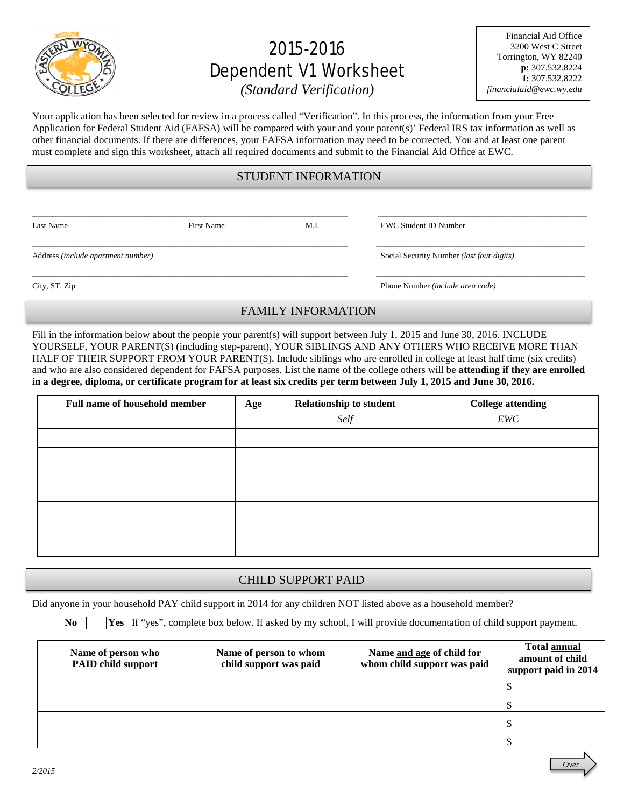

# 2015-2016 Dependent V1 Worksheet

Financial Aid Office 3200 West C Street Torrington, WY 82240 **p:** 307.532.8224 **f:** 307.532.8222 *financialaid@ewc.wy.edu*

*(Standard Verification)*

Your application has been selected for review in a process called "Verification". In this process, the information from your Free Application for Federal Student Aid (FAFSA) will be compared with your and your parent(s)' Federal IRS tax information as well as other financial documents. If there are differences, your FAFSA information may need to be corrected. You and at least one parent must complete and sign this worksheet, attach all required documents and submit to the Financial Aid Office at EWC.

## STUDENT INFORMATION

\_\_\_\_\_\_\_\_\_\_\_\_\_\_\_\_\_\_\_\_\_\_\_\_\_\_\_\_\_\_\_\_\_\_\_\_\_\_\_\_\_\_\_\_\_\_\_\_\_\_\_\_\_\_\_\_\_\_\_\_\_\_ \_\_\_\_\_\_\_\_\_\_\_\_\_\_\_\_\_\_\_\_\_\_\_\_\_\_\_\_\_\_\_\_\_\_\_\_\_\_\_\_\_

\_\_\_\_\_\_\_\_\_\_\_\_\_\_\_\_\_\_\_\_\_\_\_\_\_\_\_\_\_\_\_\_\_\_\_\_\_\_\_\_\_\_\_\_\_\_\_\_\_\_\_\_\_\_\_\_\_\_\_\_\_\_ \_\_\_\_\_\_\_\_\_\_\_\_\_\_\_\_\_\_\_\_\_\_\_\_\_\_\_\_\_\_\_\_\_\_\_\_\_\_\_\_\_

\_\_\_\_\_\_\_\_\_\_\_\_\_\_\_\_\_\_\_\_\_\_\_\_\_\_\_\_\_\_\_\_\_\_\_\_\_\_\_\_\_\_\_\_\_\_\_\_\_\_\_\_\_\_\_\_\_\_\_\_\_\_ \_\_\_\_\_\_\_\_\_\_\_\_\_\_\_\_\_\_\_\_\_\_\_\_\_\_\_\_\_\_\_\_\_\_\_\_\_\_\_\_\_

Last Name First Name First Name M.I. EWC Student ID Number

Address *(include apartment number)* Social Security Number *(last four digits)*

City, ST, Zip Phone Number *(include area code)* 

## FAMILY INFORMATION

Fill in the information below about the people your parent(s) will support between July 1, 2015 and June 30, 2016. INCLUDE YOURSELF, YOUR PARENT(S) (including step-parent), YOUR SIBLINGS AND ANY OTHERS WHO RECEIVE MORE THAN HALF OF THEIR SUPPORT FROM YOUR PARENT(S). Include siblings who are enrolled in college at least half time (six credits) and who are also considered dependent for FAFSA purposes. List the name of the college others will be **attending if they are enrolled in a degree, diploma, or certificate program for at least six credits per term between July 1, 2015 and June 30, 2016.**

| <b>Full name of household member</b> | Age | <b>Relationship to student</b> | <b>College attending</b> |
|--------------------------------------|-----|--------------------------------|--------------------------|
|                                      |     | Self                           | EWC                      |
|                                      |     |                                |                          |
|                                      |     |                                |                          |
|                                      |     |                                |                          |
|                                      |     |                                |                          |
|                                      |     |                                |                          |
|                                      |     |                                |                          |
|                                      |     |                                |                          |

### CHILD SUPPORT PAID

Did anyone in your household PAY child support in 2014 for any children NOT listed above as a household member?

**No Yes** If "yes", complete box below. If asked by my school, I will provide documentation of child support payment.

| Name of person who<br><b>PAID child support</b> | Name of person to whom<br>child support was paid | Name and age of child for<br>whom child support was paid | Total annual<br>amount of child<br>support paid in 2014 |
|-------------------------------------------------|--------------------------------------------------|----------------------------------------------------------|---------------------------------------------------------|
|                                                 |                                                  |                                                          |                                                         |
|                                                 |                                                  |                                                          |                                                         |
|                                                 |                                                  |                                                          |                                                         |
|                                                 |                                                  |                                                          |                                                         |